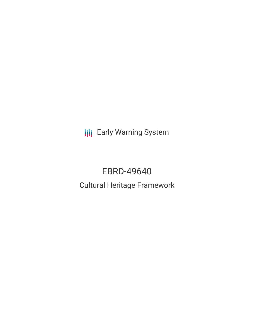**III** Early Warning System

# EBRD-49640 Cultural Heritage Framework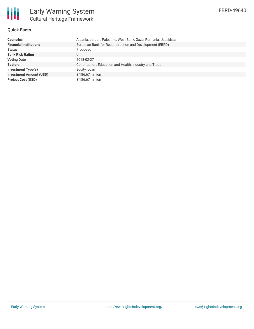

## **Quick Facts**

| <b>Countries</b>               | Albania, Jordan, Palestine, West Bank, Gaza, Romania, Uzbekistan |
|--------------------------------|------------------------------------------------------------------|
| <b>Financial Institutions</b>  | European Bank for Reconstruction and Development (EBRD)          |
| <b>Status</b>                  | Proposed                                                         |
| <b>Bank Risk Rating</b>        | U                                                                |
| <b>Voting Date</b>             | 2018-02-27                                                       |
| <b>Sectors</b>                 | Construction, Education and Health, Industry and Trade           |
| <b>Investment Type(s)</b>      | Equity, Loan                                                     |
| <b>Investment Amount (USD)</b> | $$186.67$ million                                                |
| <b>Project Cost (USD)</b>      | \$186.67 million                                                 |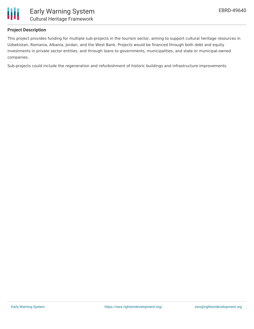

## **Project Description**

This project provides funding for multiple sub-projects in the tourism sector, aiming to support cultural heritage resources in Uzbekistan, Romania, Albania, Jordan, and the West Bank. Projects would be financed through both debt and equity investments in private sector entities, and through loans to governments, municipalities, and state or municipal-owned companies.

Sub-projects could include the regeneration and refurbishment of historic buildings and infrastructure improvements.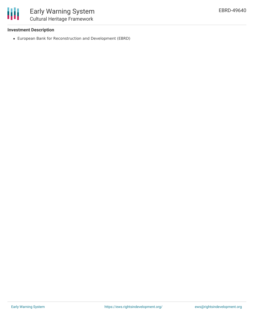

### **Investment Description**

European Bank for Reconstruction and Development (EBRD)